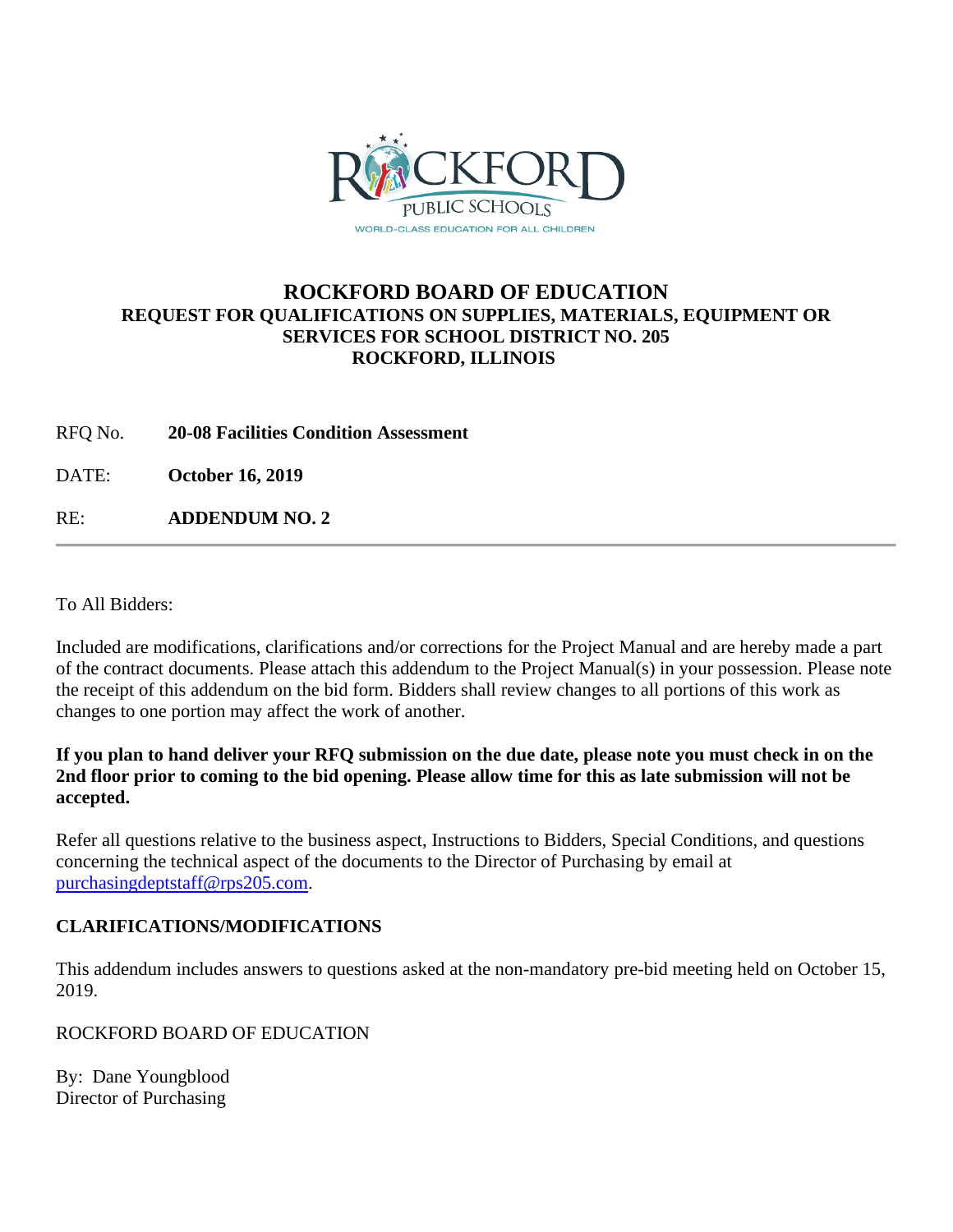

## **ROCKFORD BOARD OF EDUCATION REQUEST FOR QUALIFICATIONS ON SUPPLIES, MATERIALS, EQUIPMENT OR SERVICES FOR SCHOOL DISTRICT NO. 205 ROCKFORD, ILLINOIS**

RFQ No. **20-08 Facilities Condition Assessment**

DATE: **October 16, 2019**

RE: **ADDENDUM NO. 2**

To All Bidders:

Included are modifications, clarifications and/or corrections for the Project Manual and are hereby made a part of the contract documents. Please attach this addendum to the Project Manual(s) in your possession. Please note the receipt of this addendum on the bid form. Bidders shall review changes to all portions of this work as changes to one portion may affect the work of another.

## **If you plan to hand deliver your RFQ submission on the due date, please note you must check in on the 2nd floor prior to coming to the bid opening. Please allow time for this as late submission will not be accepted.**

Refer all questions relative to the business aspect, Instructions to Bidders, Special Conditions, and questions concerning the technical aspect of the documents to the Director of Purchasing by email at [purchasingdeptstaff@rps205.com.](mailto:purchasingdeptstaff@rps205.com)

## **CLARIFICATIONS/MODIFICATIONS**

This addendum includes answers to questions asked at the non-mandatory pre-bid meeting held on October 15, 2019.

ROCKFORD BOARD OF EDUCATION

By: Dane Youngblood Director of Purchasing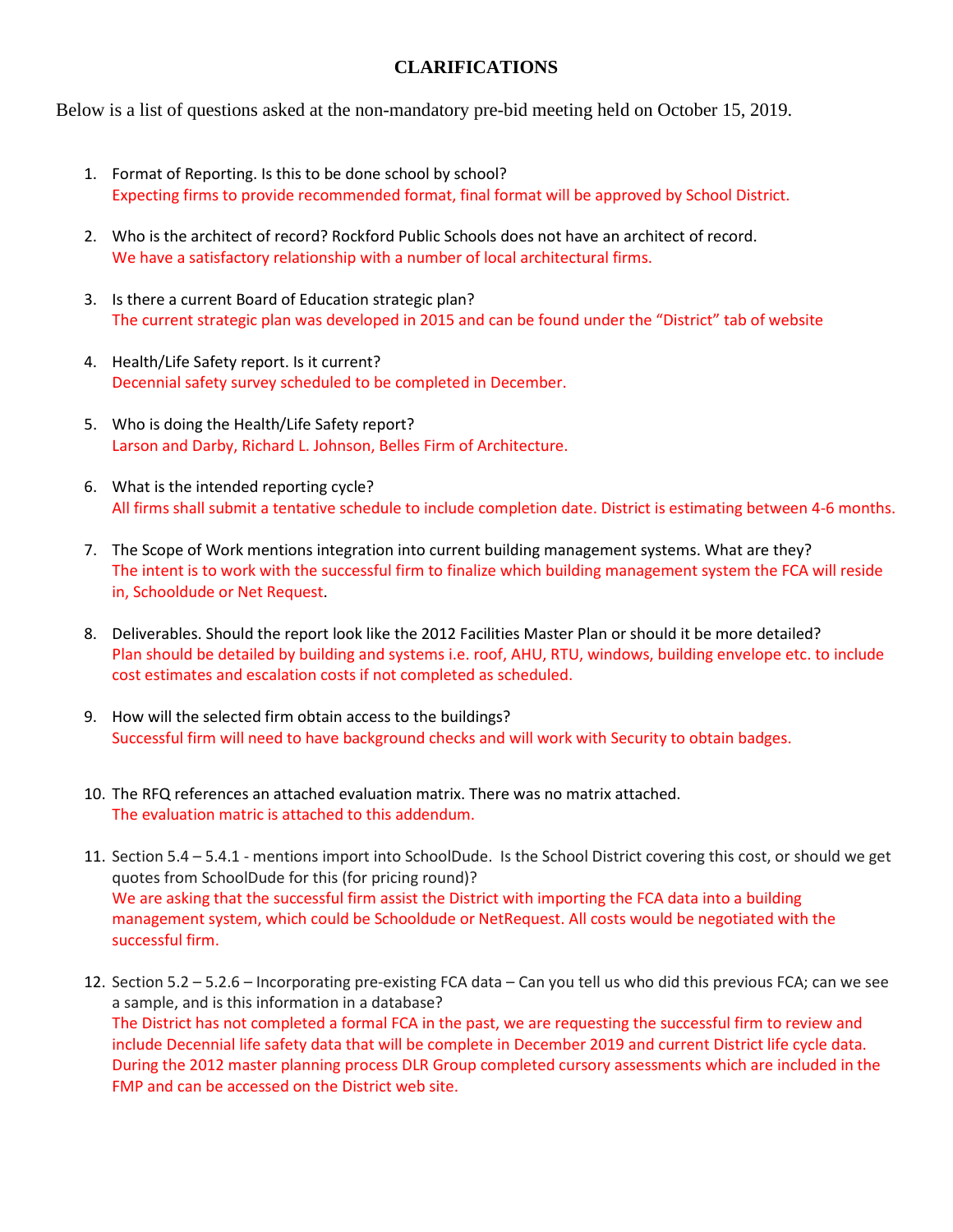## **CLARIFICATIONS**

Below is a list of questions asked at the non-mandatory pre-bid meeting held on October 15, 2019.

- 1. Format of Reporting. Is this to be done school by school? Expecting firms to provide recommended format, final format will be approved by School District.
- 2. Who is the architect of record? Rockford Public Schools does not have an architect of record. We have a satisfactory relationship with a number of local architectural firms.
- 3. Is there a current Board of Education strategic plan? The current strategic plan was developed in 2015 and can be found under the "District" tab of website
- 4. Health/Life Safety report. Is it current? Decennial safety survey scheduled to be completed in December.
- 5. Who is doing the Health/Life Safety report? Larson and Darby, Richard L. Johnson, Belles Firm of Architecture.
- 6. What is the intended reporting cycle? All firms shall submit a tentative schedule to include completion date. District is estimating between 4-6 months.
- 7. The Scope of Work mentions integration into current building management systems. What are they? The intent is to work with the successful firm to finalize which building management system the FCA will reside in, Schooldude or Net Request.
- 8. Deliverables. Should the report look like the 2012 Facilities Master Plan or should it be more detailed? Plan should be detailed by building and systems i.e. roof, AHU, RTU, windows, building envelope etc. to include cost estimates and escalation costs if not completed as scheduled.
- 9. How will the selected firm obtain access to the buildings? Successful firm will need to have background checks and will work with Security to obtain badges.
- 10. The RFQ references an attached evaluation matrix. There was no matrix attached. The evaluation matric is attached to this addendum.
- 11. Section 5.4 5.4.1 mentions import into SchoolDude. Is the School District covering this cost, or should we get quotes from SchoolDude for this (for pricing round)? We are asking that the successful firm assist the District with importing the FCA data into a building management system, which could be Schooldude or NetRequest. All costs would be negotiated with the successful firm.
- 12. Section 5.2 5.2.6 Incorporating pre-existing FCA data Can you tell us who did this previous FCA; can we see a sample, and is this information in a database? The District has not completed a formal FCA in the past, we are requesting the successful firm to review and include Decennial life safety data that will be complete in December 2019 and current District life cycle data. During the 2012 master planning process DLR Group completed cursory assessments which are included in the FMP and can be accessed on the District web site.